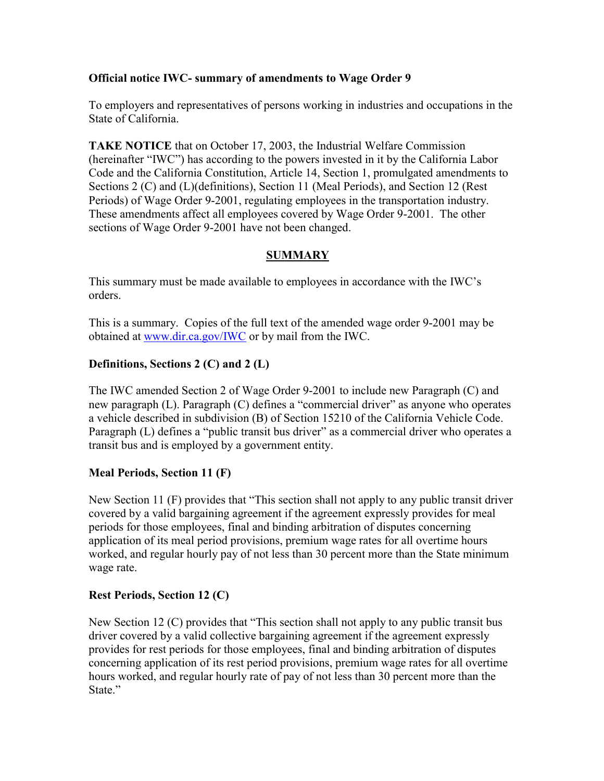### **Official notice IWC- summary of amendments to Wage Order 9**

To employers and representatives of persons working in industries and occupations in the State of California.

Periods) of Wage Order 9-2001, regulating employees in the transportation industry. **TAKE NOTICE** that on October 17, 2003, the Industrial Welfare Commission (hereinafter "IWC") has according to the powers invested in it by the California Labor Code and the California Constitution, Article 14, Section 1, promulgated amendments to Sections 2 (C) and (L)(definitions), Section 11 (Meal Periods), and Section 12 (Rest These amendments affect all employees covered by Wage Order 9-2001. The other sections of Wage Order 9-2001 have not been changed.

# **SUMMARY**

This summary must be made available to employees in accordance with the IWC's orders.

This is a summary. Copies of the full text of the amended wage order 9-2001 may be obtained at [www.dir.ca.gov/IWC](https://www.dir.ca.gov/IWC) or by mail from the IWC.

## **Definitions, Sections 2 (C) and 2 (L)**

 transit bus and is employed by a government entity. The IWC amended Section 2 of Wage Order 9-2001 to include new Paragraph (C) and new paragraph (L). Paragraph (C) defines a "commercial driver" as anyone who operates a vehicle described in subdivision (B) of Section 15210 of the California Vehicle Code. Paragraph (L) defines a "public transit bus driver" as a commercial driver who operates a

#### **Meal Periods, Section 11 (F)**

New Section 11 (F) provides that "This section shall not apply to any public transit driver covered by a valid bargaining agreement if the agreement expressly provides for meal periods for those employees, final and binding arbitration of disputes concerning application of its meal period provisions, premium wage rates for all overtime hours worked, and regular hourly pay of not less than 30 percent more than the State minimum wage rate.

#### **Rest Periods, Section 12 (C)**

 driver covered by a valid collective bargaining agreement if the agreement expressly concerning application of its rest period provisions, premium wage rates for all overtime hours worked, and regular hourly rate of pay of not less than 30 percent more than the New Section 12 (C) provides that "This section shall not apply to any public transit bus provides for rest periods for those employees, final and binding arbitration of disputes State."